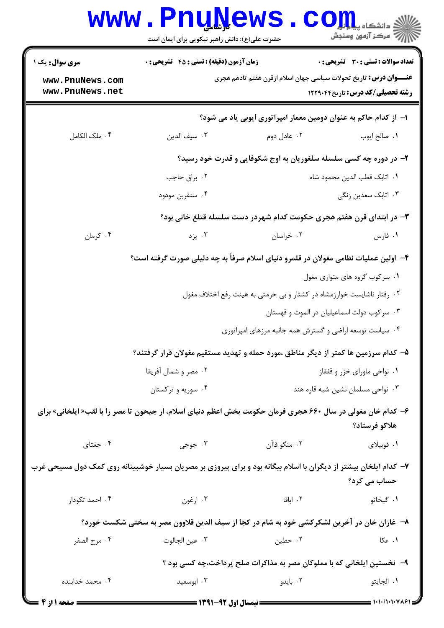|                                                                                                                                  | <b>WWW.FUUWGWS</b><br>حضرت علی(ع): دانش راهبر نیکویی برای ایمان است |                                                                                            | $\mathbf{CO}_{\mathbf{H}_{\mathbf{L}},\mathbf{L}_{\text{data}}}$ .<br>رِ ۖ مرڪز آزمون وسنڊش |  |
|----------------------------------------------------------------------------------------------------------------------------------|---------------------------------------------------------------------|--------------------------------------------------------------------------------------------|---------------------------------------------------------------------------------------------|--|
| <b>سری سوال :</b> یک ۱                                                                                                           | <b>زمان آزمون (دقیقه) : تستی : 45 قشریحی : 0</b>                    |                                                                                            | تعداد سوالات : تستى : 30 - تشريحي : 0                                                       |  |
| www.PnuNews.com<br>www.PnuNews.net                                                                                               |                                                                     | <b>عنــــوان درس:</b> تاریخ تحولات سیاسی جهان اسلام ازقرن هفتم تادهم هجری                  | <b>رشته تحصیلی/کد درس:</b> تاریخ1۲۲۹۰۴۴                                                     |  |
|                                                                                                                                  |                                                                     |                                                                                            |                                                                                             |  |
|                                                                                                                                  |                                                                     | ا– از کدام حاکم به عنوان دومین معمار امپراتوری ایوبی یاد می شود؟                           |                                                                                             |  |
| ۰۴ ملک الکامل                                                                                                                    | ٠٣ سيف الدين                                                        | ۰۲ عادل دوم                                                                                | ٠١ صالح ايوب                                                                                |  |
|                                                                                                                                  |                                                                     | ۲- در دوره چه کسی سلسله سلغوریان به اوج شکوفایی و قدرت خود رسید؟                           |                                                                                             |  |
|                                                                                                                                  | ۰۲ براق حاجب                                                        |                                                                                            | ٠١. اتابك قطب الدين محمود شاه                                                               |  |
|                                                                                                                                  | ۰۴ سنقربن مودود                                                     |                                                                                            | ۰۳ اتابک سعدبن زنگی                                                                         |  |
|                                                                                                                                  |                                                                     | ۳- در ابتدای قرن هفتم هجری حکومت کدام شهردر دست سلسله قتلغ خانی بود؟                       |                                                                                             |  |
| ۰۴ کرمان                                                                                                                         | ۰۳ یزد                                                              | ۰۲ خراسان                                                                                  | ۰۱ فارس                                                                                     |  |
|                                                                                                                                  |                                                                     | ۴– اولین عملیات نظامی مغولان در قلمرو دنیای اسلام صرفاً به چه دلیلی صورت گرفته است؟        |                                                                                             |  |
|                                                                                                                                  |                                                                     |                                                                                            | ۰۱ سرکوب گروه های متواری مغول                                                               |  |
|                                                                                                                                  |                                                                     | ۰۲ رفتار ناشایست خوارزمشاه در کشتار و بی حرمتی به هیئت رفع اختلاف مغول                     |                                                                                             |  |
|                                                                                                                                  |                                                                     | ۰۳ سرکوب دولت اسماعیلیان در الموت و قهستان                                                 |                                                                                             |  |
| ۰۴ سیاست توسعه اراضی و گسترش همه جانبه مرزهای امپراتوری                                                                          |                                                                     |                                                                                            |                                                                                             |  |
| ۵– کدام سرزمین ها کمتر از دیگر مناطق ،مورد حمله و تهدید مستقیم مغولان قرار گرفتند؟                                               |                                                                     |                                                                                            |                                                                                             |  |
|                                                                                                                                  | ۰۲ مصر و شمال آفریقا                                                | ۰۱ نواحی ماورای خزر و قفقاز                                                                |                                                                                             |  |
|                                                                                                                                  | ۰۴ سوریه و ترکستان                                                  | ۰۳ نواحی مسلمان نشین شبه قاره هند                                                          |                                                                                             |  |
| ۶- کدام خان مغولی در سال ۶۶۰ هجری فرمان حکومت بخش اعظم دنیای اسلام، از جیحون تا مصر را با لقب« ایلخانی» برای<br>هلاكو فرستاد؟    |                                                                     |                                                                                            |                                                                                             |  |
| ۰۴ جغتای                                                                                                                         | ۰۳ جوجی                                                             | ۰۲ منگو قاآن                                                                               | ٠١ قوبيلاي                                                                                  |  |
| ۷– کدام ایلخان بیشتر از دیگران با اسلام بیگانه بود و برای پیروزی بر مصریان بسیار خوشبینانه روی کمک دول مسیحی غرب<br>حساب می کرد؟ |                                                                     |                                                                                            |                                                                                             |  |
| ۰۴ احمد تکودار                                                                                                                   | ۰۳ ارغون                                                            | ۰۲ اباقا                                                                                   | ۰۱ گیخاتو                                                                                   |  |
|                                                                                                                                  |                                                                     | ۸- غازان خان در آخرین لشکرکشی خود به شام در کجا از سیف الدین قلاوون مصر به سختی شکست خورد؟ |                                                                                             |  |
| ۰۴ مرج الصفر                                                                                                                     | ۰۳ عين الجالوت                                                      | ۰۲ حطین                                                                                    | ۰۱ عکا                                                                                      |  |
| ۹-   نخستین ایلخانی که با مملوکان مصر به مذاکرات صلح پرداخت،چه کسی بود ؟                                                         |                                                                     |                                                                                            |                                                                                             |  |
| ۰۴ محمد خدابنده                                                                                                                  | ۰۳ ابوسعید                                                          | ۰۲ بایدو                                                                                   | ٠١. الجايتو                                                                                 |  |
| = صفحه 1 از                                                                                                                      |                                                                     |                                                                                            | $\equiv$ ۱۰۱۰/۱۰۱۰۷۸۶                                                                       |  |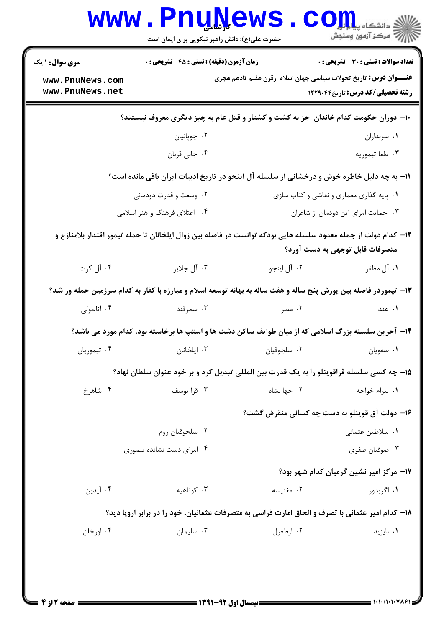| <b>زمان آزمون (دقیقه) : تستی : 45 گشریحی : 0</b><br><b>عنـــوان درس:</b> تاریخ تحولات سیاسی جهان اسلام ازقرن هفتم تادهم هجری<br>www.PnuNews.com<br>www.PnuNews.net<br><b>رشته تحصیلی/کد درس:</b> تاریخ1۲۲۹۰۴۴<br>+۱- دوران حکومت کدام خاندان  جز به کشت و کشتار و قتل عام به چیز دیگری معروف نیستند؟<br>۰۲ چوپانیان<br>٠١. سربداران<br>۰۴ جاني قربان<br>۰۳ طغا تيموريه<br>1۱- به چه دلیل خاطره خوش و درخشانی از سلسله آل اینجو در تاریخ ادبیات ایران باقی مانده است؟<br>۰۱ پایه گذاری معماری و نقاشی و کتاب سازی<br>۰۲ وسعت و قدرت دودمانی<br>۰۳ حمایت امرای این دودمان از شاعران<br>۰۴ اعتلای فرهنگ و هنر اسلامی<br>۱۲– کدام دولت از جمله معدود سلسله هایی بودکه توانست در فاصله بین زوال ایلخانان تا حمله تیمور اقتدار بلامنازع و<br>متصرفات قابل توجهی به دست آورد؟<br>۰۴ آل کرت<br>۰۳ آل جلاير<br>۰۲ آل اینجو<br>۰۱ آل مظفر<br>۱۳- تیموردر فاصله بین یورش پنج ساله و هفت ساله به بهانه توسعه اسلام و مبارزه با کفار به کدام سرزمین حمله ور شد؟<br>۰۳ سمرقند<br>۰۴ آناطولی<br>۰۲ مصر<br>۰۱ هند<br>۱۴– آخرین سلسله بزرگ اسلامی که از میان طوایف ساکن دشت ها و استپ ها برخاسته بود، کدام مورد می باشد؟<br>۰۴ تيموريان<br>۰۳ ایلخانان<br>۰۲ سلجوقيان<br>۰۱ صفويان<br>۱۵– چه کسی سلسله قراقوینلو را به یک قدرت بین المللی تبدیل کرد و بر خود عنوان سلطان نهاد؟<br>۰۴ شاهرخ<br>۰۳ قرا يوسف<br>۰۲ جها نشاه<br>۰۱ بیرام خواجه<br>۱۶- دولت آق قوینلو به دست چه کسانی منقرض گشت؟<br>۰۲ سلجوقيان روم<br>٠١ سلاطين عثماني<br>۰۴ امرای دست نشانده تیموری<br>۰۳ صوفيان صفوي<br>۱۷– مرکز امیر نشین گرمیان کدام شهر بود؟<br>۰۴ آیدین<br>۰۳ کوتاهیه<br>۰۲ مغنیسه<br>۰۱ اگریدور<br>۱۸– کدام امیر عثمانی با تصرف و الحاق امارت قراسی به متصرفات عثمانیان، خود را در برابر اروپا دید؟<br>۰۳ سلیمان<br>۰۴ اورخان<br>۰۲ ارطغرل<br>۰۱ بایزید |                        | حضرت علی(ع): دانش راهبر نیکویی برای ایمان است | الاد دانشگاه پیاوران<br>ان <sup>7</sup> مرکز آزمون وسنجش |
|---------------------------------------------------------------------------------------------------------------------------------------------------------------------------------------------------------------------------------------------------------------------------------------------------------------------------------------------------------------------------------------------------------------------------------------------------------------------------------------------------------------------------------------------------------------------------------------------------------------------------------------------------------------------------------------------------------------------------------------------------------------------------------------------------------------------------------------------------------------------------------------------------------------------------------------------------------------------------------------------------------------------------------------------------------------------------------------------------------------------------------------------------------------------------------------------------------------------------------------------------------------------------------------------------------------------------------------------------------------------------------------------------------------------------------------------------------------------------------------------------------------------------------------------------------------------------------------------------------------------------------------------------------------------------------------------------------------------------|------------------------|-----------------------------------------------|----------------------------------------------------------|
|                                                                                                                                                                                                                                                                                                                                                                                                                                                                                                                                                                                                                                                                                                                                                                                                                                                                                                                                                                                                                                                                                                                                                                                                                                                                                                                                                                                                                                                                                                                                                                                                                                                                                                                           | <b>سری سوال : ۱ یک</b> |                                               | تعداد سوالات : تستي : 30 ٪ تشريحي : 0                    |
|                                                                                                                                                                                                                                                                                                                                                                                                                                                                                                                                                                                                                                                                                                                                                                                                                                                                                                                                                                                                                                                                                                                                                                                                                                                                                                                                                                                                                                                                                                                                                                                                                                                                                                                           |                        |                                               |                                                          |
|                                                                                                                                                                                                                                                                                                                                                                                                                                                                                                                                                                                                                                                                                                                                                                                                                                                                                                                                                                                                                                                                                                                                                                                                                                                                                                                                                                                                                                                                                                                                                                                                                                                                                                                           |                        |                                               |                                                          |
|                                                                                                                                                                                                                                                                                                                                                                                                                                                                                                                                                                                                                                                                                                                                                                                                                                                                                                                                                                                                                                                                                                                                                                                                                                                                                                                                                                                                                                                                                                                                                                                                                                                                                                                           |                        |                                               |                                                          |
|                                                                                                                                                                                                                                                                                                                                                                                                                                                                                                                                                                                                                                                                                                                                                                                                                                                                                                                                                                                                                                                                                                                                                                                                                                                                                                                                                                                                                                                                                                                                                                                                                                                                                                                           |                        |                                               |                                                          |
|                                                                                                                                                                                                                                                                                                                                                                                                                                                                                                                                                                                                                                                                                                                                                                                                                                                                                                                                                                                                                                                                                                                                                                                                                                                                                                                                                                                                                                                                                                                                                                                                                                                                                                                           |                        |                                               |                                                          |
|                                                                                                                                                                                                                                                                                                                                                                                                                                                                                                                                                                                                                                                                                                                                                                                                                                                                                                                                                                                                                                                                                                                                                                                                                                                                                                                                                                                                                                                                                                                                                                                                                                                                                                                           |                        |                                               |                                                          |
|                                                                                                                                                                                                                                                                                                                                                                                                                                                                                                                                                                                                                                                                                                                                                                                                                                                                                                                                                                                                                                                                                                                                                                                                                                                                                                                                                                                                                                                                                                                                                                                                                                                                                                                           |                        |                                               |                                                          |
|                                                                                                                                                                                                                                                                                                                                                                                                                                                                                                                                                                                                                                                                                                                                                                                                                                                                                                                                                                                                                                                                                                                                                                                                                                                                                                                                                                                                                                                                                                                                                                                                                                                                                                                           |                        |                                               |                                                          |
|                                                                                                                                                                                                                                                                                                                                                                                                                                                                                                                                                                                                                                                                                                                                                                                                                                                                                                                                                                                                                                                                                                                                                                                                                                                                                                                                                                                                                                                                                                                                                                                                                                                                                                                           |                        |                                               |                                                          |
|                                                                                                                                                                                                                                                                                                                                                                                                                                                                                                                                                                                                                                                                                                                                                                                                                                                                                                                                                                                                                                                                                                                                                                                                                                                                                                                                                                                                                                                                                                                                                                                                                                                                                                                           |                        |                                               |                                                          |
|                                                                                                                                                                                                                                                                                                                                                                                                                                                                                                                                                                                                                                                                                                                                                                                                                                                                                                                                                                                                                                                                                                                                                                                                                                                                                                                                                                                                                                                                                                                                                                                                                                                                                                                           |                        |                                               |                                                          |
|                                                                                                                                                                                                                                                                                                                                                                                                                                                                                                                                                                                                                                                                                                                                                                                                                                                                                                                                                                                                                                                                                                                                                                                                                                                                                                                                                                                                                                                                                                                                                                                                                                                                                                                           |                        |                                               |                                                          |
|                                                                                                                                                                                                                                                                                                                                                                                                                                                                                                                                                                                                                                                                                                                                                                                                                                                                                                                                                                                                                                                                                                                                                                                                                                                                                                                                                                                                                                                                                                                                                                                                                                                                                                                           |                        |                                               |                                                          |
|                                                                                                                                                                                                                                                                                                                                                                                                                                                                                                                                                                                                                                                                                                                                                                                                                                                                                                                                                                                                                                                                                                                                                                                                                                                                                                                                                                                                                                                                                                                                                                                                                                                                                                                           |                        |                                               |                                                          |
|                                                                                                                                                                                                                                                                                                                                                                                                                                                                                                                                                                                                                                                                                                                                                                                                                                                                                                                                                                                                                                                                                                                                                                                                                                                                                                                                                                                                                                                                                                                                                                                                                                                                                                                           |                        |                                               |                                                          |
|                                                                                                                                                                                                                                                                                                                                                                                                                                                                                                                                                                                                                                                                                                                                                                                                                                                                                                                                                                                                                                                                                                                                                                                                                                                                                                                                                                                                                                                                                                                                                                                                                                                                                                                           |                        |                                               |                                                          |
|                                                                                                                                                                                                                                                                                                                                                                                                                                                                                                                                                                                                                                                                                                                                                                                                                                                                                                                                                                                                                                                                                                                                                                                                                                                                                                                                                                                                                                                                                                                                                                                                                                                                                                                           |                        |                                               |                                                          |
|                                                                                                                                                                                                                                                                                                                                                                                                                                                                                                                                                                                                                                                                                                                                                                                                                                                                                                                                                                                                                                                                                                                                                                                                                                                                                                                                                                                                                                                                                                                                                                                                                                                                                                                           |                        |                                               |                                                          |
|                                                                                                                                                                                                                                                                                                                                                                                                                                                                                                                                                                                                                                                                                                                                                                                                                                                                                                                                                                                                                                                                                                                                                                                                                                                                                                                                                                                                                                                                                                                                                                                                                                                                                                                           |                        |                                               |                                                          |
|                                                                                                                                                                                                                                                                                                                                                                                                                                                                                                                                                                                                                                                                                                                                                                                                                                                                                                                                                                                                                                                                                                                                                                                                                                                                                                                                                                                                                                                                                                                                                                                                                                                                                                                           |                        |                                               |                                                          |
|                                                                                                                                                                                                                                                                                                                                                                                                                                                                                                                                                                                                                                                                                                                                                                                                                                                                                                                                                                                                                                                                                                                                                                                                                                                                                                                                                                                                                                                                                                                                                                                                                                                                                                                           |                        |                                               |                                                          |
|                                                                                                                                                                                                                                                                                                                                                                                                                                                                                                                                                                                                                                                                                                                                                                                                                                                                                                                                                                                                                                                                                                                                                                                                                                                                                                                                                                                                                                                                                                                                                                                                                                                                                                                           |                        |                                               |                                                          |
|                                                                                                                                                                                                                                                                                                                                                                                                                                                                                                                                                                                                                                                                                                                                                                                                                                                                                                                                                                                                                                                                                                                                                                                                                                                                                                                                                                                                                                                                                                                                                                                                                                                                                                                           |                        |                                               |                                                          |
|                                                                                                                                                                                                                                                                                                                                                                                                                                                                                                                                                                                                                                                                                                                                                                                                                                                                                                                                                                                                                                                                                                                                                                                                                                                                                                                                                                                                                                                                                                                                                                                                                                                                                                                           |                        |                                               |                                                          |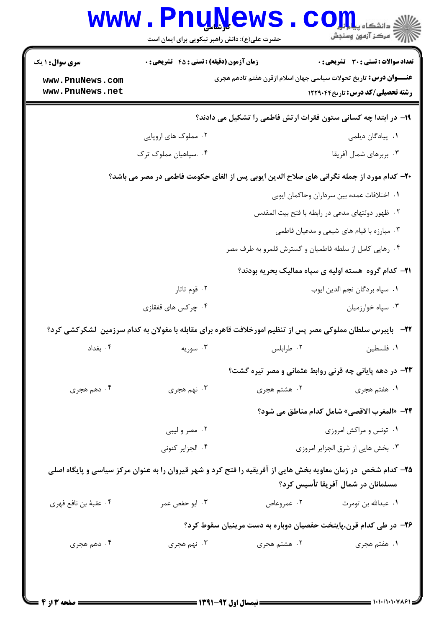| <b>سری سوال :</b> ۱ یک             | <b>زمان آزمون (دقیقه) : تستی : 45 قشریحی : 0</b>                                                                   |                                                                          | <b>تعداد سوالات : تستی : 30 ٪ تشریحی : 0</b>               |
|------------------------------------|--------------------------------------------------------------------------------------------------------------------|--------------------------------------------------------------------------|------------------------------------------------------------|
| www.PnuNews.com<br>www.PnuNews.net |                                                                                                                    | <b>عنـــوان درس:</b> تاریخ تحولات سیاسی جهان اسلام ازقرن هفتم تادهم هجری | <b>رشته تحصیلی/کد درس:</b> تاریخ1۲۲۹۰۴۴                    |
|                                    |                                                                                                                    | ۱۹- در ابتدا چه کسانی ستون فقرات ارتش فاطمی را تشکیل می دادند؟           |                                                            |
|                                    | ۰۲ مملوک های اروپایی                                                                                               |                                                                          | <b>۱</b> . پیادگان دیلمی                                   |
|                                    | ۰۴ سپاهیان مملوک ترک                                                                                               |                                                                          | ۰۳ بربرهای شمال آفریقا                                     |
|                                    | ۲۰– کدام مورد از جمله نگرانی های صلاح الدین ایوبی پس از الغای حکومت فاطمی در مصر می باشد؟                          |                                                                          |                                                            |
|                                    |                                                                                                                    |                                                                          | ٠١. اختلافات عمده بين سرداران وحاكمان ايوبي                |
|                                    |                                                                                                                    |                                                                          | ۰۲ ظهور دولتهای مدعی در رابطه با فتح بیت المقدس            |
|                                    |                                                                                                                    |                                                                          | ۰۳ مبارزه با قیام های شیعی و مدعیان فاطمی                  |
|                                    |                                                                                                                    | ۰۴ رهایی کامل از سلطه فاطمیان و گسترش قلمرو به طرف مصر                   |                                                            |
|                                    |                                                                                                                    |                                                                          | <b>۲۱- کدام گروه هسته اولیه ی سپاه ممالیک بحریه بودند؟</b> |
|                                    | ۰۲ قوم تاتار                                                                                                       |                                                                          | ٠١ سپاه بردگان نجم الدين ايوب                              |
|                                    | ۰۴ چرکس های قفقازی                                                                                                 |                                                                          | ۰۳ سپاه خوارزميان                                          |
|                                    | <b>۲۲</b> - بایبرس سلطان مملوکی مصر پس از تنظیم امورخلافت قاهره برای مقابله با مغولان به کدام سرزمین ٔلشکرکشی کرد؟ |                                                                          |                                                            |
| ۰۴ بغداد                           | ۰۳ سوریه $\cdot$                                                                                                   | ۰۲ طرابلس                                                                | ۰۱ فلسطین                                                  |
|                                    |                                                                                                                    | ۲۳- در دهه پایانی چه قرنی روابط عثمانی و مصر تیره گشت؟                   |                                                            |
| ۰۴ دهم هجری                        | ۰۳ نهم هجري                                                                                                        | ۰۲ هشتم هجری                                                             | ۱. هفتم هجری                                               |
|                                    |                                                                                                                    |                                                                          | ۲۴− «المغرب الاقصي» شامل كدام مناطق مي شود؟                |
|                                    | ۰۲ مصر و لیبی                                                                                                      |                                                                          | ٠١ تونس و مراكش امروزى                                     |
|                                    | ۰۴ الجزایر کنونی                                                                                                   |                                                                          | ٠٣ بخش هايي از شرق الجزاير امروزي                          |
|                                    | ۲۵– کدام شخص در زمان معاویه بخش هایی از آفریقیه را فتح کرد و شهر قیروان را به عنوان مرکز سیاسی و پایگاه اصلی       |                                                                          | مسلمانان در شمال آفریقا تأسیس کرد؟                         |
| ۰۴ عقبهٔ بن نافع فهري              | ۰۳ ابو حفص عمر                                                                                                     | ۰۲ عمروعاص                                                               | ٠١ عبدالله بن تومرت                                        |
|                                    |                                                                                                                    | ۲۶– در طی کدام قرن،پایتخت حفصیان دوباره به دست مرینیان سقوط کرد؟         |                                                            |
| ۰۴ دهم هجری                        | ۰۳ نهم هجری                                                                                                        | ۰۲ هشتم هجری                                                             | ۰۱ هفتم هجری                                               |